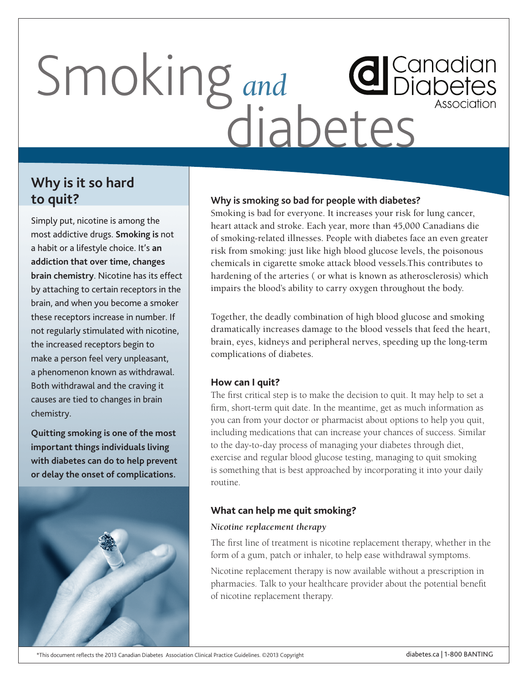# Smoking *and* diabetes

## **Why is it so hard to quit?**

Simply put, nicotine is among the most addictive drugs. **Smoking is** not a habit or a lifestyle choice. It's **an addiction that over time, changes brain chemistry**. Nicotine has its effect by attaching to certain receptors in the brain, and when you become a smoker these receptors increase in number. If not regularly stimulated with nicotine, the increased receptors begin to make a person feel very unpleasant, a phenomenon known as withdrawal. Both withdrawal and the craving it causes are tied to changes in brain chemistry.

**Quitting smoking is one of the most important things individuals living with diabetes can do to help prevent or delay the onset of complications.**



### **Why is smoking so bad for people with diabetes?**

Smoking is bad for everyone. It increases your risk for lung cancer, heart attack and stroke. Each year, more than 45,000 Canadians die of smoking-related illnesses. People with diabetes face an even greater risk from smoking: just like high blood glucose levels, the poisonous chemicals in cigarette smoke attack blood vessels.This contributes to hardening of the arteries ( or what is known as atherosclerosis) which impairs the blood's ability to carry oxygen throughout the body.

Together, the deadly combination of high blood glucose and smoking dramatically increases damage to the blood vessels that feed the heart, brain, eyes, kidneys and peripheral nerves, speeding up the long-term complications of diabetes.

#### **How can I quit?**

The first critical step is to make the decision to quit. It may help to set a firm, short-term quit date. In the meantime, get as much information as you can from your doctor or pharmacist about options to help you quit, including medications that can increase your chances of success. Similar to the day-to-day process of managing your diabetes through diet, exercise and regular blood glucose testing, managing to quit smoking is something that is best approached by incorporating it into your daily routine.

#### **What can help me quit smoking?**

#### *Nicotine replacement therapy*

The first line of treatment is nicotine replacement therapy, whether in the form of a gum, patch or inhaler, to help ease withdrawal symptoms.

Nicotine replacement therapy is now available without a prescription in pharmacies. Talk to your healthcare provider about the potential benefit of nicotine replacement therapy.

#### \*This document reflects the 2013 Canadian Diabetes Association Clinical Practice Guidelines. ©2013 Copyright diabetes.ca | 1-800 BANTING